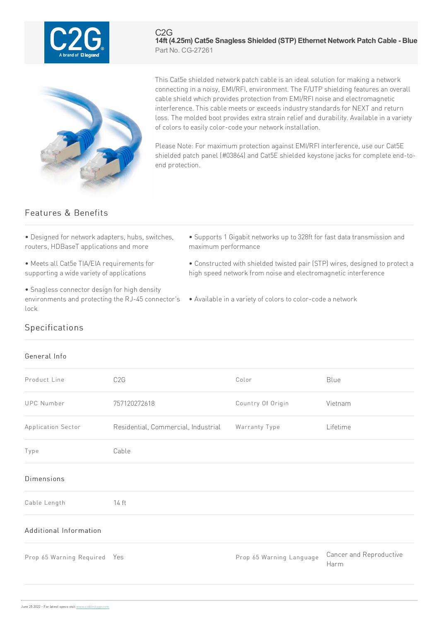

#### C2G **14ft (4.25m) Cat5e Snagless Shielded (STP) Ethernet Network Patch Cable - Blue** Part No. CG-27261



This Cat5e shielded network patch cable is an ideal solution for making a network connecting in a noisy, EMI/RFI, environment. The F/UTP shielding features an overall cable shield which provides protection from EMI/RFI noise and electromagnetic interference. This cable meets or exceeds industry standards for NEXT and return loss. The molded boot provides extra strain relief and durability. Available in a variety of colors to easily color-code your network installation.

Please Note: For maximum protection against EMI/RFI interference, use our Cat5E shielded patch panel (#03864) and Cat5E shielded keystone jacks for complete end-toend protection.

# Features & Benefits

- Designed for network adapters, hubs, switches, routers, HDBaseT applications and more
- Meets all Cat5e TIA/EIA requirements for supporting a wide variety of applications
- Snagless connector design for high density environments and protecting the RJ-45 connector's lock
- Supports 1 Gigabit networks up to 328ft for fast data transmission and maximum performance
- Constructed with shielded twisted pair (STP) wires, designed to protect a high speed network from noise and electromagnetic interference
- Available in a variety of colors to color-code a network

## Specifications

### General Info

| Product Line                 | C <sub>2</sub> G                    | Color                    | Blue                            |
|------------------------------|-------------------------------------|--------------------------|---------------------------------|
| <b>UPC Number</b>            | 757120272618                        | Country Of Origin        | Vietnam                         |
| Application Sector           | Residential, Commercial, Industrial | Warranty Type            | Lifetime                        |
| Type                         | Cable                               |                          |                                 |
| <b>Dimensions</b>            |                                     |                          |                                 |
| Cable Length                 | 14 ft                               |                          |                                 |
| Additional Information       |                                     |                          |                                 |
| Prop 65 Warning Required Yes |                                     | Prop 65 Warning Language | Cancer and Reproductive<br>Harm |
|                              |                                     |                          |                                 |